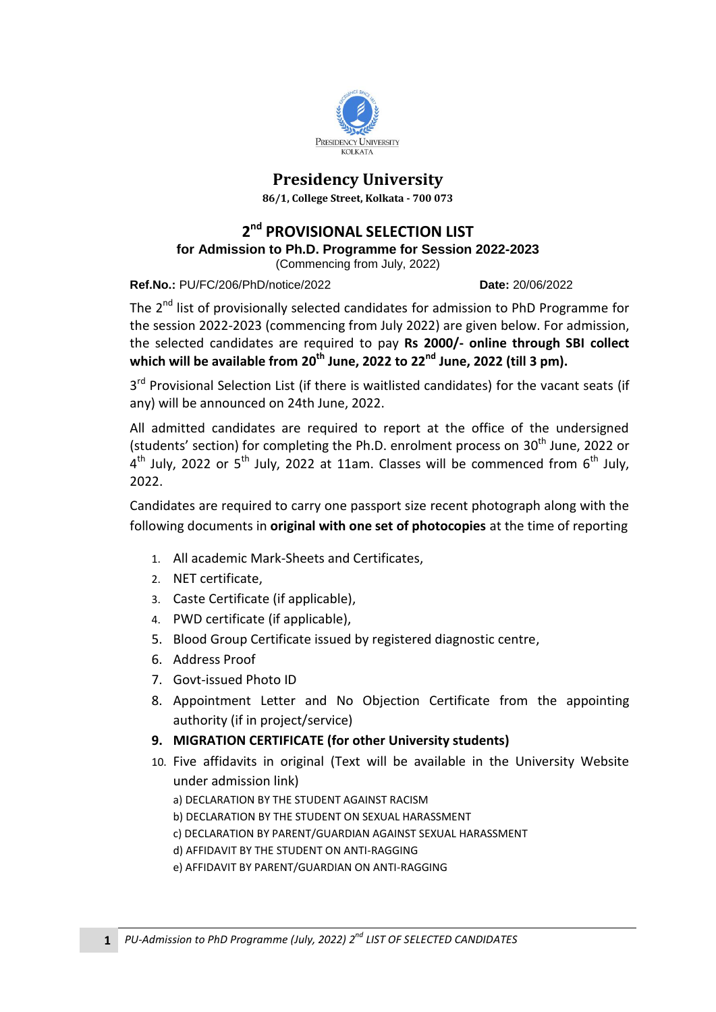

## **Presidency University**

**86/1, College Street, Kolkata - 700 073**

## **2 nd PROVISIONAL SELECTION LIST**

**for [Admission to Ph.D. Programme for Session 2022-2023](http://presiuniv.ac.in/web/phdnotice300120191.php)**

(Commencing [from July, 2022\)](http://presiuniv.ac.in/web/phdnotice300120191.php)

**Ref.No.:** PU/FC/206/PhD/notice/2022 **Date:** 20/06/2022

The 2<sup>nd</sup> list of provisionally selected candidates for admission to PhD Programme for the session 2022-2023 (commencing from July 2022) are given below. For admission, the selected candidates are required to pay **Rs 2000/- online through SBI collect which will be available from 20th June, 2022 to 22nd June, 2022 (till 3 pm).** 

3<sup>rd</sup> Provisional Selection List (if there is waitlisted candidates) for the vacant seats (if any) will be announced on 24th June, 2022.

All admitted candidates are required to report at the office of the undersigned (students' section) for completing the Ph.D. enrolment process on  $30<sup>th</sup>$  June, 2022 or  $4^{th}$  July, 2022 or 5<sup>th</sup> July, 2022 at 11am. Classes will be commenced from 6<sup>th</sup> July, 2022.

Candidates are required to carry one passport size recent photograph along with the following documents in **original with one set of photocopies** at the time of reporting

- 1. All academic Mark-Sheets and Certificates,
- 2. NET certificate,
- 3. Caste Certificate (if applicable),
- 4. PWD certificate (if applicable),
- 5. Blood Group Certificate issued by registered diagnostic centre,
- 6. Address Proof
- 7. Govt-issued Photo ID
- 8. Appointment Letter and No Objection Certificate from the appointing authority (if in project/service)
- **9. MIGRATION CERTIFICATE (for other University students)**
- 10. Five affidavits in original (Text will be available in the University Website under admission link)
	- a) DECLARATION BY THE STUDENT AGAINST RACISM
	- b) DECLARATION BY THE STUDENT ON SEXUAL HARASSMENT
	- c) DECLARATION BY PARENT/GUARDIAN AGAINST SEXUAL HARASSMENT
	- d) AFFIDAVIT BY THE STUDENT ON ANTI-RAGGING
	- e) AFFIDAVIT BY PARENT/GUARDIAN ON ANTI-RAGGING